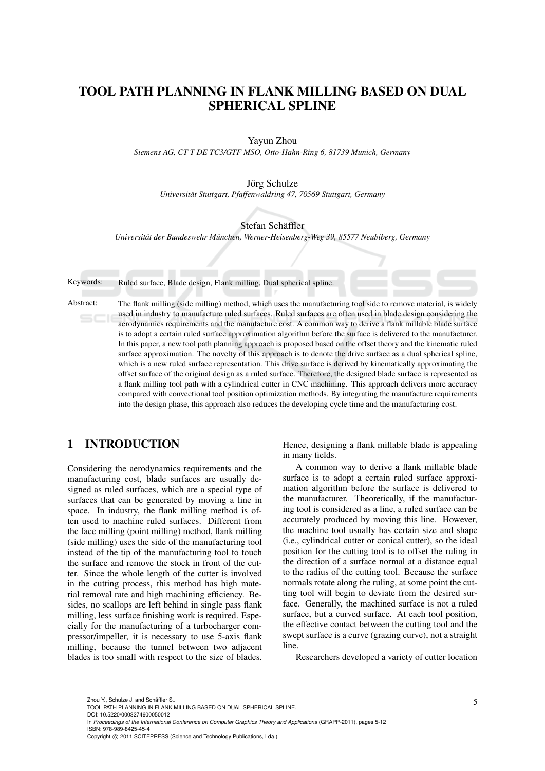# TOOL PATH PLANNING IN FLANK MILLING BASED ON DUAL SPHERICAL SPLINE

#### Yayun Zhou

*Siemens AG, CT T DE TC3/GTF MSO, Otto-Hahn-Ring 6, 81739 Munich, Germany*

#### Jörg Schulze

*Universitat Stuttgart, Pfaffenwaldring 47, 70569 Stuttgart, Germany ¨*

#### Stefan Schäffler

*Universitat der Bundeswehr M ¨ unchen, Werner-Heisenberg-Weg 39, 85577 Neubiberg, Germany ¨*

Keywords: Ruled surface, Blade design, Flank milling, Dual spherical spline.

Abstract: The flank milling (side milling) method, which uses the manufacturing tool side to remove material, is widely used in industry to manufacture ruled surfaces. Ruled surfaces are often used in blade design considering the aerodynamics requirements and the manufacture cost. A common way to derive a flank millable blade surface is to adopt a certain ruled surface approximation algorithm before the surface is delivered to the manufacturer. In this paper, a new tool path planning approach is proposed based on the offset theory and the kinematic ruled surface approximation. The novelty of this approach is to denote the drive surface as a dual spherical spline, which is a new ruled surface representation. This drive surface is derived by kinematically approximating the offset surface of the original design as a ruled surface. Therefore, the designed blade surface is represented as a flank milling tool path with a cylindrical cutter in CNC machining. This approach delivers more accuracy compared with convectional tool position optimization methods. By integrating the manufacture requirements into the design phase, this approach also reduces the developing cycle time and the manufacturing cost.

# 1 INTRODUCTION

Considering the aerodynamics requirements and the manufacturing cost, blade surfaces are usually designed as ruled surfaces, which are a special type of surfaces that can be generated by moving a line in space. In industry, the flank milling method is often used to machine ruled surfaces. Different from the face milling (point milling) method, flank milling (side milling) uses the side of the manufacturing tool instead of the tip of the manufacturing tool to touch the surface and remove the stock in front of the cutter. Since the whole length of the cutter is involved in the cutting process, this method has high material removal rate and high machining efficiency. Besides, no scallops are left behind in single pass flank milling, less surface finishing work is required. Especially for the manufacturing of a turbocharger compressor/impeller, it is necessary to use 5-axis flank milling, because the tunnel between two adjacent blades is too small with respect to the size of blades.

Hence, designing a flank millable blade is appealing in many fields.

A common way to derive a flank millable blade surface is to adopt a certain ruled surface approximation algorithm before the surface is delivered to the manufacturer. Theoretically, if the manufacturing tool is considered as a line, a ruled surface can be accurately produced by moving this line. However, the machine tool usually has certain size and shape (i.e., cylindrical cutter or conical cutter), so the ideal position for the cutting tool is to offset the ruling in the direction of a surface normal at a distance equal to the radius of the cutting tool. Because the surface normals rotate along the ruling, at some point the cutting tool will begin to deviate from the desired surface. Generally, the machined surface is not a ruled surface, but a curved surface. At each tool position, the effective contact between the cutting tool and the swept surface is a curve (grazing curve), not a straight line.

Researchers developed a variety of cutter location

Zhou Y., Schulze J. and Schäffler S..

DOI: 10.5220/0003274600050012

In *Proceedings of the International Conference on Computer Graphics Theory and Applications* (GRAPP-2011), pages 5-12 ISBN: 978-989-8425-45-4

Copyright © 2011 SCITEPRESS (Science and Technology Publications, Lda.)

TOOL PATH PLANNING IN FLANK MILLING BASED ON DUAL SPHERICAL SPLINE.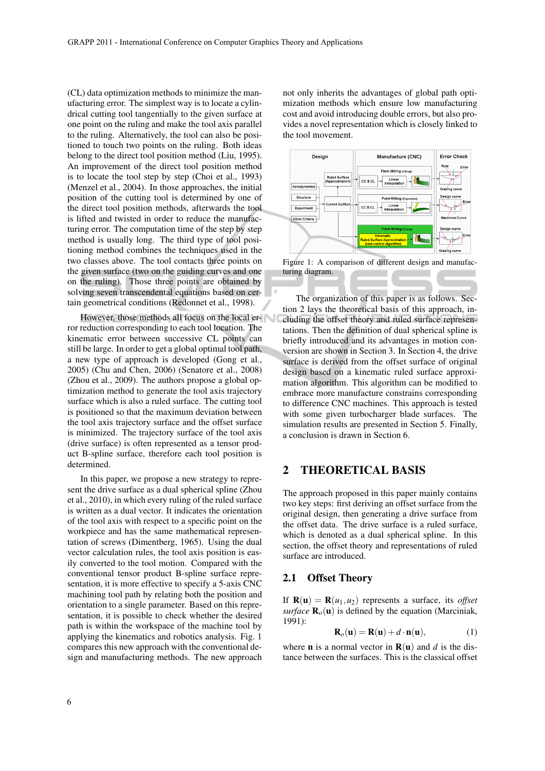(CL) data optimization methods to minimize the manufacturing error. The simplest way is to locate a cylindrical cutting tool tangentially to the given surface at one point on the ruling and make the tool axis parallel to the ruling. Alternatively, the tool can also be positioned to touch two points on the ruling. Both ideas belong to the direct tool position method (Liu, 1995). An improvement of the direct tool position method is to locate the tool step by step (Choi et al., 1993) (Menzel et al., 2004). In those approaches, the initial position of the cutting tool is determined by one of the direct tool position methods, afterwards the tool is lifted and twisted in order to reduce the manufacturing error. The computation time of the step by step method is usually long. The third type of tool positioning method combines the techniques used in the two classes above. The tool contacts three points on the given surface (two on the guiding curves and one on the ruling). Those three points are obtained by solving seven transcendental equations based on certain geometrical conditions (Redonnet et al., 1998).

However, those methods all focus on the local error reduction corresponding to each tool location. The kinematic error between successive CL points can still be large. In order to get a global optimal tool path, a new type of approach is developed (Gong et al., 2005) (Chu and Chen, 2006) (Senatore et al., 2008) (Zhou et al., 2009). The authors propose a global optimization method to generate the tool axis trajectory surface which is also a ruled surface. The cutting tool is positioned so that the maximum deviation between the tool axis trajectory surface and the offset surface is minimized. The trajectory surface of the tool axis (drive surface) is often represented as a tensor product B-spline surface, therefore each tool position is determined.

In this paper, we propose a new strategy to represent the drive surface as a dual spherical spline (Zhou et al., 2010), in which every ruling of the ruled surface is written as a dual vector. It indicates the orientation of the tool axis with respect to a specific point on the workpiece and has the same mathematical representation of screws (Dimentberg, 1965). Using the dual vector calculation rules, the tool axis position is easily converted to the tool motion. Compared with the conventional tensor product B-spline surface representation, it is more effective to specify a 5-axis CNC machining tool path by relating both the position and orientation to a single parameter. Based on this representation, it is possible to check whether the desired path is within the workspace of the machine tool by applying the kinematics and robotics analysis. Fig. 1 compares this new approach with the conventional design and manufacturing methods. The new approach not only inherits the advantages of global path optimization methods which ensure low manufacturing cost and avoid introducing double errors, but also provides a novel representation which is closely linked to the tool movement.



Figure 1: A comparison of different design and manufacturing diagram.

The organization of this paper is as follows. Section 2 lays the theoretical basis of this approach, including the offset theory and ruled surface representations. Then the definition of dual spherical spline is briefly introduced and its advantages in motion conversion are shown in Section 3. In Section 4, the drive surface is derived from the offset surface of original design based on a kinematic ruled surface approximation algorithm. This algorithm can be modified to embrace more manufacture constrains corresponding to difference CNC machines. This approach is tested with some given turbocharger blade surfaces. The simulation results are presented in Section 5. Finally, a conclusion is drawn in Section 6.

## 2 THEORETICAL BASIS

The approach proposed in this paper mainly contains two key steps: first deriving an offset surface from the original design, then generating a drive surface from the offset data. The drive surface is a ruled surface, which is denoted as a dual spherical spline. In this section, the offset theory and representations of ruled surface are introduced.

#### 2.1 Offset Theory

If  $\mathbf{R}(\mathbf{u}) = \mathbf{R}(u_1, u_2)$  represents a surface, its *offset surface*  $\mathbf{R}_{o}(\mathbf{u})$  is defined by the equation (Marciniak, 1991):

$$
\mathbf{R}_o(\mathbf{u}) = \mathbf{R}(\mathbf{u}) + d \cdot \mathbf{n}(\mathbf{u}),\tag{1}
$$

where **n** is a normal vector in  $R(u)$  and *d* is the distance between the surfaces. This is the classical offset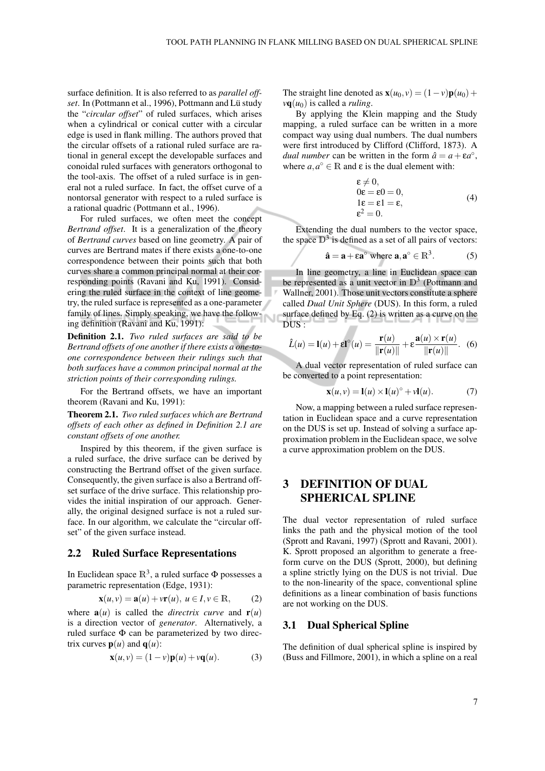surface definition. It is also referred to as *parallel off*set. In (Pottmann et al., 1996), Pottmann and Lü study the "*circular offset*" of ruled surfaces, which arises when a cylindrical or conical cutter with a circular edge is used in flank milling. The authors proved that the circular offsets of a rational ruled surface are rational in general except the developable surfaces and conoidal ruled surfaces with generators orthogonal to the tool-axis. The offset of a ruled surface is in general not a ruled surface. In fact, the offset curve of a nontorsal generator with respect to a ruled surface is a rational quadric (Pottmann et al., 1996).

For ruled surfaces, we often meet the concept *Bertrand offset*. It is a generalization of the theory of *Bertrand curves* based on line geometry. A pair of curves are Bertrand mates if there exists a one-to-one correspondence between their points such that both curves share a common principal normal at their corresponding points (Ravani and Ku, 1991). Considering the ruled surface in the context of line geometry, the ruled surface is represented as a one-parameter family of lines. Simply speaking, we have the following definition (Ravani and Ku, 1991):

Definition 2.1. *Two ruled surfaces are said to be Bertrand offsets of one another if there exists a one-toone correspondence between their rulings such that both surfaces have a common principal normal at the striction points of their corresponding rulings.*

For the Bertrand offsets, we have an important theorem (Ravani and Ku, 1991):

Theorem 2.1. *Two ruled surfaces which are Bertrand offsets of each other as defined in Definition 2.1 are constant offsets of one another.*

Inspired by this theorem, if the given surface is a ruled surface, the drive surface can be derived by constructing the Bertrand offset of the given surface. Consequently, the given surface is also a Bertrand offset surface of the drive surface. This relationship provides the initial inspiration of our approach. Generally, the original designed surface is not a ruled surface. In our algorithm, we calculate the "circular offset" of the given surface instead.

#### 2.2 Ruled Surface Representations

In Euclidean space  $\mathbb{R}^3$ , a ruled surface  $\Phi$  possesses a parametric representation (Edge, 1931):

$$
\mathbf{x}(u,v) = \mathbf{a}(u) + v\mathbf{r}(u), \ u \in I, v \in \mathbb{R}, \qquad (2)
$$

where  $\mathbf{a}(u)$  is called the *directrix curve* and  $\mathbf{r}(u)$ is a direction vector of *generator*. Alternatively, a ruled surface  $\Phi$  can be parameterized by two directrix curves  $p(u)$  and  $q(u)$ :

$$
\mathbf{x}(u,v) = (1-v)\mathbf{p}(u) + v\mathbf{q}(u). \tag{3}
$$

The straight line denoted as  $\mathbf{x}(u_0, v) = (1 - v)\mathbf{p}(u_0) +$  $v\mathbf{q}(u_0)$  is called a *ruling*.

By applying the Klein mapping and the Study mapping, a ruled surface can be written in a more compact way using dual numbers. The dual numbers were first introduced by Clifford (Clifford, 1873). A *dual number* can be written in the form  $\hat{a} = a + \varepsilon a^{\circ}$ , where  $a, a^{\circ} \in \mathbb{R}$  and  $\varepsilon$  is the dual element with:

$$
\varepsilon \neq 0,\n0\varepsilon = \varepsilon 0 = 0,\n1\varepsilon = \varepsilon 1 = \varepsilon,\n\varepsilon^2 = 0.
$$
\n(4)

Extending the dual numbers to the vector space, the space  $\mathbb{D}^3$  is defined as a set of all pairs of vectors:

$$
\hat{\mathbf{a}} = \mathbf{a} + \varepsilon \mathbf{a}^{\circ} \text{ where } \mathbf{a}, \mathbf{a}^{\circ} \in \mathbb{R}^{3}.
$$
 (5)

In line geometry, a line in Euclidean space can be represented as a unit vector in  $\mathbb{D}^3$  (Pottmann and Wallner, 2001). Those unit vectors constitute a sphere called *Dual Unit Sphere* (DUS). In this form, a ruled surface defined by Eq. (2) is written as a curve on the DUS : ×

$$
\hat{L}(u) = \mathbf{I}(u) + \varepsilon \mathbf{I}^{\circ}(u) = \frac{\mathbf{r}(u)}{\|\mathbf{r}(u)\|} + \varepsilon \frac{\mathbf{a}(u) \times \mathbf{r}(u)}{\|\mathbf{r}(u)\|}. \tag{6}
$$

A dual vector representation of ruled surface can be converted to a point representation:

$$
\mathbf{x}(u,v) = \mathbf{l}(u) \times \mathbf{l}(u)^\circ + v\mathbf{l}(u). \tag{7}
$$

Now, a mapping between a ruled surface representation in Euclidean space and a curve representation on the DUS is set up. Instead of solving a surface approximation problem in the Euclidean space, we solve a curve approximation problem on the DUS.

# 3 DEFINITION OF DUAL SPHERICAL SPLINE

The dual vector representation of ruled surface links the path and the physical motion of the tool (Sprott and Ravani, 1997) (Sprott and Ravani, 2001). K. Sprott proposed an algorithm to generate a freeform curve on the DUS (Sprott, 2000), but defining a spline strictly lying on the DUS is not trivial. Due to the non-linearity of the space, conventional spline definitions as a linear combination of basis functions are not working on the DUS.

### 3.1 Dual Spherical Spline

The definition of dual spherical spline is inspired by (Buss and Fillmore, 2001), in which a spline on a real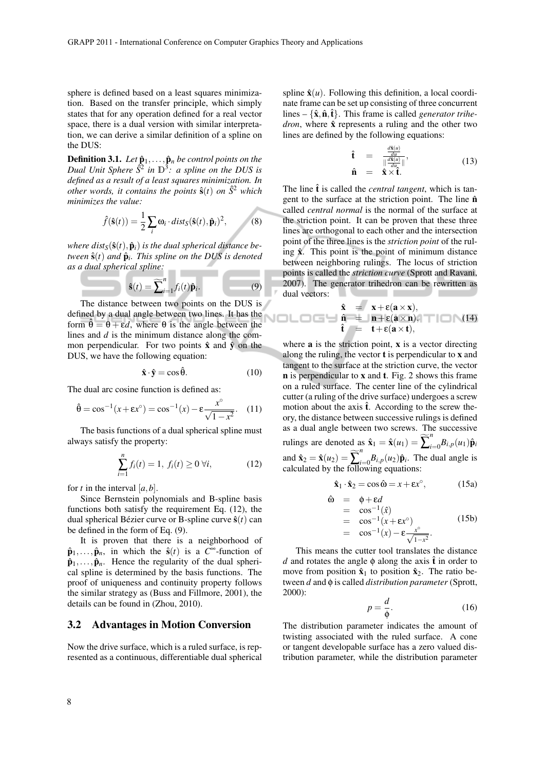sphere is defined based on a least squares minimization. Based on the transfer principle, which simply states that for any operation defined for a real vector space, there is a dual version with similar interpretation, we can derive a similar definition of a spline on the DUS:

**Definition 3.1.** Let  $\hat{\mathbf{p}}_1, \ldots, \hat{\mathbf{p}}_n$  *be control points on the Dual Unit Sphere*  $\hat{S}^2$  in  $\mathbb{D}^3$ : *a spline on the DUS is defined as a result of a least squares minimization. In other words, it contains the points*  $\hat{\mathbf{s}}(t)$  *on*  $\hat{S}^2$  *which minimizes the value:*

$$
\hat{f}(\hat{\mathbf{s}}(t)) = \frac{1}{2} \sum_{i} \omega_i \cdot dist_S(\hat{\mathbf{s}}(t), \hat{\mathbf{p}}_i)^2, \tag{8}
$$

*where dist*<sub>*S*</sub>( $\hat{\mathbf{s}}(t)$ ,  $\hat{\mathbf{p}}_i$ ) *is the dual spherical distance between* sˆ(*t*) *and* pˆ*<sup>i</sup> . This spline on the DUS is denoted as a dual spherical spline:*

$$
\hat{\mathbf{s}}(t) = \widehat{\sum}_{i=1}^{n} f_i(t) \hat{\mathbf{p}}_i.
$$
 (9)

The distance between two points on the DUS is defined by a dual angle between two lines. It has the form  $\hat{\theta} = \theta + \varepsilon d$ , where  $\theta$  is the angle between the lines and *d* is the minimum distance along the common perpendicular. For two points  $\hat{x}$  and  $\hat{y}$  on the DUS, we have the following equation:

$$
\hat{\mathbf{x}} \cdot \hat{\mathbf{y}} = \cos \hat{\theta}.\tag{10}
$$

The dual arc cosine function is defined as:

$$
\hat{\theta} = \cos^{-1}(x + \varepsilon x^{\circ}) = \cos^{-1}(x) - \varepsilon \frac{x^{\circ}}{\sqrt{1 - x^2}}.
$$
 (11)

The basis functions of a dual spherical spline must always satisfy the property:

$$
\sum_{i=1}^{n} f_i(t) = 1, \ f_i(t) \ge 0 \ \forall i,
$$
 (12)

for *t* in the interval  $[a, b]$ .

Since Bernstein polynomials and B-spline basis functions both satisfy the requirement Eq. (12), the dual spherical Bézier curve or B-spline curve  $\hat{\mathbf{s}}(t)$  can be defined in the form of Eq. (9).

It is proven that there is a neighborhood of  $\hat{\mathbf{p}}_1, \ldots, \hat{\mathbf{p}}_n$ , in which the  $\hat{\mathbf{s}}(t)$  is a  $C^{\infty}$ -function of  $\hat{\mathbf{p}}_1, \ldots, \hat{\mathbf{p}}_n$ . Hence the regularity of the dual spherical spline is determined by the basis functions. The proof of uniqueness and continuity property follows the similar strategy as (Buss and Fillmore, 2001), the details can be found in (Zhou, 2010).

#### 3.2 Advantages in Motion Conversion

Now the drive surface, which is a ruled surface, is represented as a continuous, differentiable dual spherical spline  $\hat{\mathbf{x}}(u)$ . Following this definition, a local coordinate frame can be set up consisting of three concurrent lines  $- \{\hat{\mathbf{x}}, \hat{\mathbf{n}}, \hat{\mathbf{t}}\}$ . This frame is called *generator trihedron*, where  $\hat{x}$  represents a ruling and the other two lines are defined by the following equations:

$$
\hat{\mathbf{t}} = \frac{\frac{d\hat{\mathbf{x}}(u)}{du}}{\|\frac{d\hat{\mathbf{x}}(u)}{du}\|},\n\hat{\mathbf{n}} = \hat{\mathbf{x}} \times \hat{\mathbf{t}}.
$$
\n(13)

The line  $\hat{\mathbf{t}}$  is called the *central tangent*, which is tangent to the surface at the striction point. The line  $\hat{\mathbf{n}}$ called *central normal* is the normal of the surface at the striction point. It can be proven that these three lines are orthogonal to each other and the intersection point of the three lines is the *striction point* of the ruling  $\hat{x}$ . This point is the point of minimum distance between neighboring rulings. The locus of striction points is called the *striction curve* (Sprott and Ravani, 2007). The generator trihedron can be rewritten as dual vectors:

$$
\hat{\mathbf{x}} = \mathbf{x} + \varepsilon(\mathbf{a} \times \mathbf{x}),
$$
  
\n
$$
\hat{\mathbf{n}} = \mathbf{n} + \varepsilon(\mathbf{a} \times \mathbf{n}),
$$
  
\n
$$
\hat{\mathbf{t}} = \mathbf{t} + \varepsilon(\mathbf{a} \times \mathbf{t}),
$$
 (14)

where **a** is the striction point, **x** is a vector directing along the ruling, the vector  $t$  is perpendicular to  $x$  and tangent to the surface at the striction curve, the vector n is perpendicular to x and t. Fig. 2 shows this frame on a ruled surface. The center line of the cylindrical cutter (a ruling of the drive surface) undergoes a screw motion about the axis  $\hat{\mathbf{t}}$ . According to the screw theory, the distance between successive rulings is defined as a dual angle between two screws. The successive rulings are denoted as  $\hat{\mathbf{x}}_1 = \hat{\mathbf{x}}(u_1) = \sum_{i=1}^{n}$  $B_{i,p}(u_1)\hat{\mathbf{p}}_i$ and  $\hat{\mathbf{x}}_2 = \hat{\mathbf{x}}(u_2) = \sum_{i=1}^{n}$  $B_{i,p}(u_2)\hat{\mathbf{p}}_i$ . The dual angle is calculated by the following equations:

$$
\hat{\mathbf{x}}_1 \cdot \hat{\mathbf{x}}_2 = \cos \hat{\omega} = x + \varepsilon x^\circ, \tag{15a}
$$

$$
= \phi + \varepsilon d
$$
  
\n
$$
= \cos^{-1}(\hat{x})
$$
  
\n
$$
= \cos^{-1}(x + \varepsilon x^{\circ})
$$
  
\n
$$
= \cos^{-1}(x) - \varepsilon \frac{x^{\circ}}{\sqrt{1 - x^2}}.
$$
\n(15b)

This means the cutter tool translates the distance *d* and rotates the angle  $\phi$  along the axis  $\hat{\mathbf{t}}$  in order to move from position  $\hat{\mathbf{x}}_1$  to position  $\hat{\mathbf{x}}_2$ . The ratio between *d* and φ is called *distribution parameter* (Sprott, 2000):

 $\hat{\omega}$ 

$$
p = \frac{d}{\phi}.\tag{16}
$$

The distribution parameter indicates the amount of twisting associated with the ruled surface. A cone or tangent developable surface has a zero valued distribution parameter, while the distribution parameter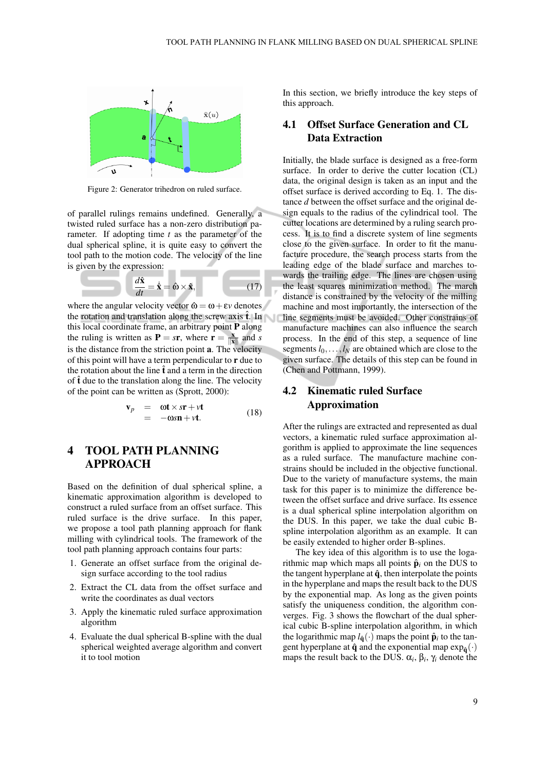

Figure 2: Generator trihedron on ruled surface.

of parallel rulings remains undefined. Generally, a twisted ruled surface has a non-zero distribution parameter. If adopting time *t* as the parameter of the dual spherical spline, it is quite easy to convert the tool path to the motion code. The velocity of the line is given by the expression:

$$
\frac{d\hat{\mathbf{x}}}{dt} = \dot{\mathbf{x}} = \mathbf{0} \times \hat{\mathbf{x}},\tag{17}
$$

where the angular velocity vector  $\hat{\omega} = \omega + \epsilon v$  denotes the rotation and translation along the screw axis  $\hat{\mathbf{t}}$ . In this local coordinate frame, an arbitrary point P along the ruling is written as  $P = s\mathbf{r}$ , where  $\mathbf{r} = \frac{\mathbf{x}}{\|\mathbf{x}\|}$  and *s* is the distance from the striction point a. The velocity of this point will have a term perpendicular to  **due to** the rotation about the line  $\hat{\mathbf{t}}$  and a term in the direction of  $\hat{\mathbf{t}}$  due to the translation along the line. The velocity of the point can be written as (Sprott, 2000):

$$
\mathbf{v}_p = \mathbf{\omega} \mathbf{t} \times s\mathbf{r} + v\mathbf{t} \n= -\mathbf{\omega} s\mathbf{n} + v\mathbf{t}.
$$
\n(18)

# 4 TOOL PATH PLANNING APPROACH

Based on the definition of dual spherical spline, a kinematic approximation algorithm is developed to construct a ruled surface from an offset surface. This ruled surface is the drive surface. In this paper, we propose a tool path planning approach for flank milling with cylindrical tools. The framework of the tool path planning approach contains four parts:

- 1. Generate an offset surface from the original design surface according to the tool radius
- 2. Extract the CL data from the offset surface and write the coordinates as dual vectors
- 3. Apply the kinematic ruled surface approximation algorithm
- 4. Evaluate the dual spherical B-spline with the dual spherical weighted average algorithm and convert it to tool motion

In this section, we briefly introduce the key steps of this approach.

## 4.1 Offset Surface Generation and CL Data Extraction

Initially, the blade surface is designed as a free-form surface. In order to derive the cutter location (CL) data, the original design is taken as an input and the offset surface is derived according to Eq. 1. The distance *d* between the offset surface and the original design equals to the radius of the cylindrical tool. The cutter locations are determined by a ruling search process. It is to find a discrete system of line segments close to the given surface. In order to fit the manufacture procedure, the search process starts from the leading edge of the blade surface and marches towards the trailing edge. The lines are chosen using the least squares minimization method. The march distance is constrained by the velocity of the milling machine and most importantly, the intersection of the line segments must be avoided. Other constrains of manufacture machines can also influence the search process. In the end of this step, a sequence of line segments  $l_0, \ldots, l_N$  are obtained which are close to the given surface. The details of this step can be found in (Chen and Pottmann, 1999).

# 4.2 Kinematic ruled Surface Approximation

After the rulings are extracted and represented as dual vectors, a kinematic ruled surface approximation algorithm is applied to approximate the line sequences as a ruled surface. The manufacture machine constrains should be included in the objective functional. Due to the variety of manufacture systems, the main task for this paper is to minimize the difference between the offset surface and drive surface. Its essence is a dual spherical spline interpolation algorithm on the DUS. In this paper, we take the dual cubic Bspline interpolation algorithm as an example. It can be easily extended to higher order B-splines.

The key idea of this algorithm is to use the logarithmic map which maps all points  $\hat{\mathbf{p}}_i$  on the DUS to the tangent hyperplane at  $\hat{q}$ , then interpolate the points in the hyperplane and maps the result back to the DUS by the exponential map. As long as the given points satisfy the uniqueness condition, the algorithm converges. Fig. 3 shows the flowchart of the dual spherical cubic B-spline interpolation algorithm, in which the logarithmic map  $l_{\hat{q}}(\cdot)$  maps the point  $\hat{p}_i$  to the tangent hyperplane at  $\hat{\mathbf{q}}$  and the exponential map  $\exp_{\hat{\mathbf{q}}}(\cdot)$ maps the result back to the DUS.  $\alpha_i$ ,  $\beta_i$ ,  $\gamma_i$  denote the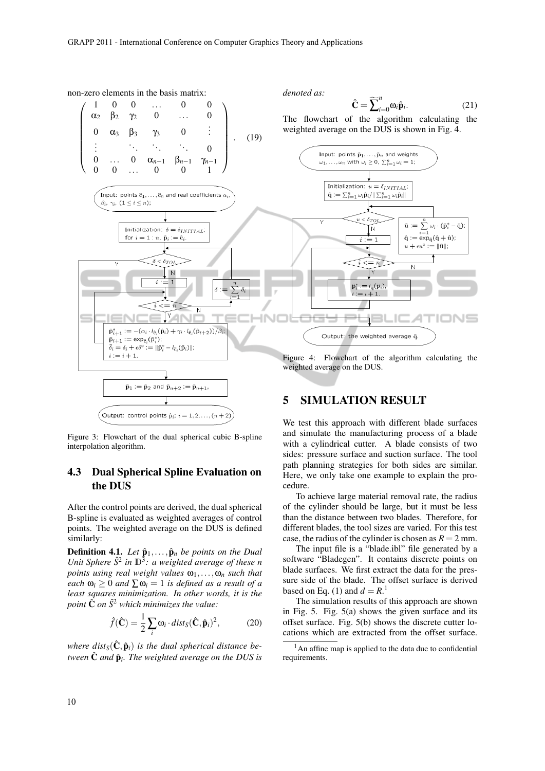

Figure 3: Flowchart of the dual spherical cubic B-spline interpolation algorithm.

## 4.3 Dual Spherical Spline Evaluation on the DUS

After the control points are derived, the dual spherical B-spline is evaluated as weighted averages of control points. The weighted average on the DUS is defined similarly:

**Definition 4.1.** Let  $\hat{\mathbf{p}}_1, \ldots, \hat{\mathbf{p}}_n$  be points on the Dual Unit Sphere  $\hat{S}^2$  in  $\mathbb{D}^3$ : a weighted average of these n *points using real weight values*  $\omega_1, \ldots, \omega_n$  *such that each*  $\omega_i \geq 0$  *and*  $\sum \omega_i = 1$  *is defined as a result of a least squares minimization. In other words, it is the point*  $\hat{C}$  *on*  $\hat{S}^2$  *which minimizes the value:* 

$$
\hat{f}(\hat{\mathbf{C}}) = \frac{1}{2} \sum_{i} \omega_i \cdot dist_{\mathcal{S}}(\hat{\mathbf{C}}, \hat{\mathbf{p}}_i)^2, \tag{20}
$$

*where dist*<sub>*S*</sub>( $\hat{\mathbf{C}}$ ,  $\hat{\mathbf{p}}_i$ ) *is the dual spherical distance between* Cˆ *and* pˆ*<sup>i</sup> . The weighted average on the DUS is*

We test this approach with different blade surfaces and simulate the manufacturing process of a blade with a cylindrical cutter. A blade consists of two sides: pressure surface and suction surface. The tool path planning strategies for both sides are similar. Here, we only take one example to explain the procedure.

To achieve large material removal rate, the radius of the cylinder should be large, but it must be less than the distance between two blades. Therefore, for different blades, the tool sizes are varied. For this test case, the radius of the cylinder is chosen as  $R = 2$  mm.

The input file is a "blade.ibl" file generated by a software "Bladegen". It contains discrete points on blade surfaces. We first extract the data for the pressure side of the blade. The offset surface is derived based on Eq. (1) and  $d = R$ .<sup>1</sup>

The simulation results of this approach are shown in Fig. 5. Fig. 5(a) shows the given surface and its offset surface. Fig. 5(b) shows the discrete cutter locations which are extracted from the offset surface.

<sup>&</sup>lt;sup>1</sup>An affine map is applied to the data due to confidential requirements.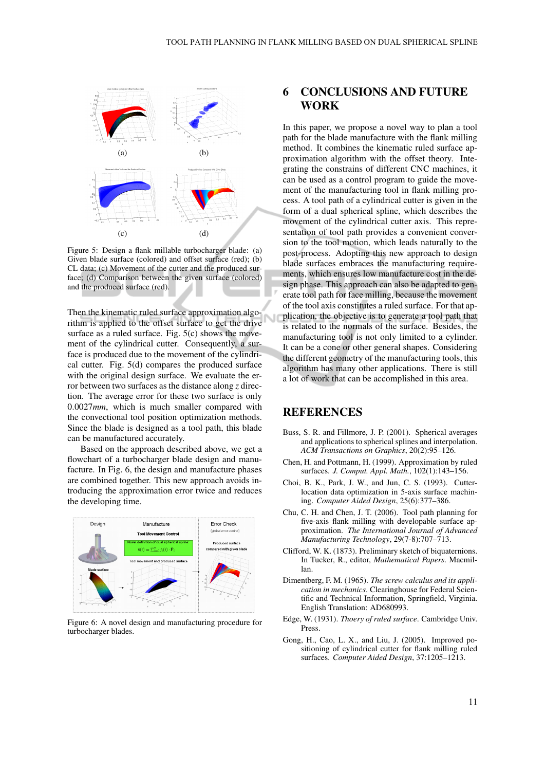

Figure 5: Design a flank millable turbocharger blade: (a) Given blade surface (colored) and offset surface (red); (b) CL data; (c) Movement of the cutter and the produced surface; (d) Comparison between the given surface (colored) and the produced surface (red).

Then the kinematic ruled surface approximation algorithm is applied to the offset surface to get the drive surface as a ruled surface. Fig. 5(c) shows the movement of the cylindrical cutter. Consequently, a surface is produced due to the movement of the cylindrical cutter. Fig. 5(d) compares the produced surface with the original design surface. We evaluate the error between two surfaces as the distance along *z* direction. The average error for these two surface is only 0.0027*mm*, which is much smaller compared with the convectional tool position optimization methods. Since the blade is designed as a tool path, this blade can be manufactured accurately.

Based on the approach described above, we get a flowchart of a turbocharger blade design and manufacture. In Fig. 6, the design and manufacture phases are combined together. This new approach avoids introducing the approximation error twice and reduces the developing time.



Figure 6: A novel design and manufacturing procedure for turbocharger blades.

# 6 CONCLUSIONS AND FUTURE WORK

In this paper, we propose a novel way to plan a tool path for the blade manufacture with the flank milling method. It combines the kinematic ruled surface approximation algorithm with the offset theory. Integrating the constrains of different CNC machines, it can be used as a control program to guide the movement of the manufacturing tool in flank milling process. A tool path of a cylindrical cutter is given in the form of a dual spherical spline, which describes the movement of the cylindrical cutter axis. This representation of tool path provides a convenient conversion to the tool motion, which leads naturally to the post-process. Adopting this new approach to design blade surfaces embraces the manufacturing requirements, which ensures low manufacture cost in the design phase. This approach can also be adapted to generate tool path for face milling, because the movement of the tool axis constitutes a ruled surface. For that application, the objective is to generate a tool path that is related to the normals of the surface. Besides, the manufacturing tool is not only limited to a cylinder. It can be a cone or other general shapes. Considering the different geometry of the manufacturing tools, this algorithm has many other applications. There is still a lot of work that can be accomplished in this area.

## REFERENCES

- Buss, S. R. and Fillmore, J. P. (2001). Spherical averages and applications to spherical splines and interpolation. *ACM Transactions on Graphics*, 20(2):95–126.
- Chen, H. and Pottmann, H. (1999). Approximation by ruled surfaces. *J. Comput. Appl. Math.*, 102(1):143–156.
- Choi, B. K., Park, J. W., and Jun, C. S. (1993). Cutterlocation data optimization in 5-axis surface machining. *Computer Aided Design*, 25(6):377–386.
- Chu, C. H. and Chen, J. T. (2006). Tool path planning for five-axis flank milling with developable surface approximation. *The International Journal of Advanced Manufacturing Technology*, 29(7-8):707–713.
- Clifford, W. K. (1873). Preliminary sketch of biquaternions. In Tucker, R., editor, *Mathematical Papers*. Macmillan.
- Dimentberg, F. M. (1965). *The screw calculus and its application in mechanics*. Clearinghouse for Federal Scientific and Technical Information, Springfield, Virginia. English Translation: AD680993.
- Edge, W. (1931). *Thoery of ruled surface*. Cambridge Univ. Press.
- Gong, H., Cao, L. X., and Liu, J. (2005). Improved positioning of cylindrical cutter for flank milling ruled surfaces. *Computer Aided Design*, 37:1205–1213.